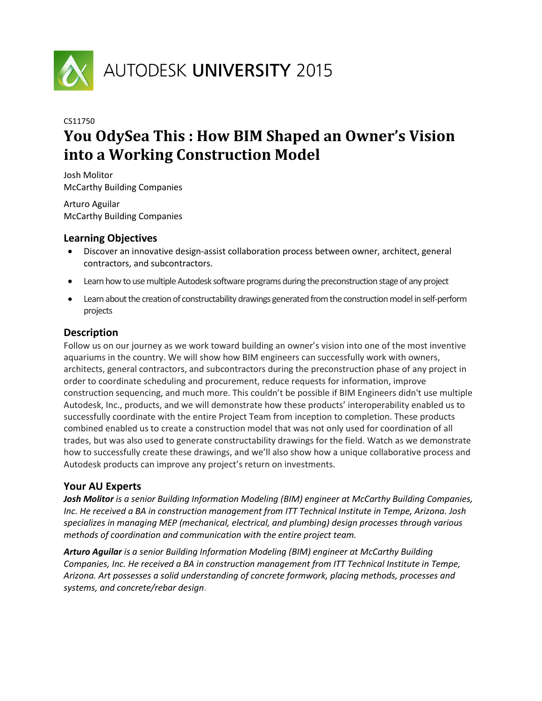

# CS11750 **You OdySea This : How BIM Shaped an Owner's Vision into a Working Construction Model**

Josh Molitor McCarthy Building Companies

Arturo Aguilar McCarthy Building Companies

# **Learning Objectives**

- Discover an innovative design-assist collaboration process between owner, architect, general contractors, and subcontractors.
- Learn how to use multiple Autodesk software programs during the preconstruction stage of any project
- Learn about the creation of constructability drawings generated from the construction model in self-perform projects

# **Description**

Follow us on our journey as we work toward building an owner's vision into one of the most inventive aquariums in the country. We will show how BIM engineers can successfully work with owners, architects, general contractors, and subcontractors during the preconstruction phase of any project in order to coordinate scheduling and procurement, reduce requests for information, improve construction sequencing, and much more. This couldn't be possible if BIM Engineers didn't use multiple Autodesk, Inc., products, and we will demonstrate how these products' interoperability enabled us to successfully coordinate with the entire Project Team from inception to completion. These products combined enabled us to create a construction model that was not only used for coordination of all trades, but was also used to generate constructability drawings for the field. Watch as we demonstrate how to successfully create these drawings, and we'll also show how a unique collaborative process and Autodesk products can improve any project's return on investments.

# **Your AU Experts**

*Josh Molitor is a senior Building Information Modeling (BIM) engineer at McCarthy Building Companies, Inc. He received a BA in construction management from ITT Technical Institute in Tempe, Arizona. Josh specializes in managing MEP (mechanical, electrical, and plumbing) design processes through various methods of coordination and communication with the entire project team.*

*Arturo Aguilar is a senior Building Information Modeling (BIM) engineer at McCarthy Building Companies, Inc. He received a BA in construction management from ITT Technical Institute in Tempe, Arizona. Art possesses a solid understanding of concrete formwork, placing methods, processes and systems, and concrete/rebar design*.